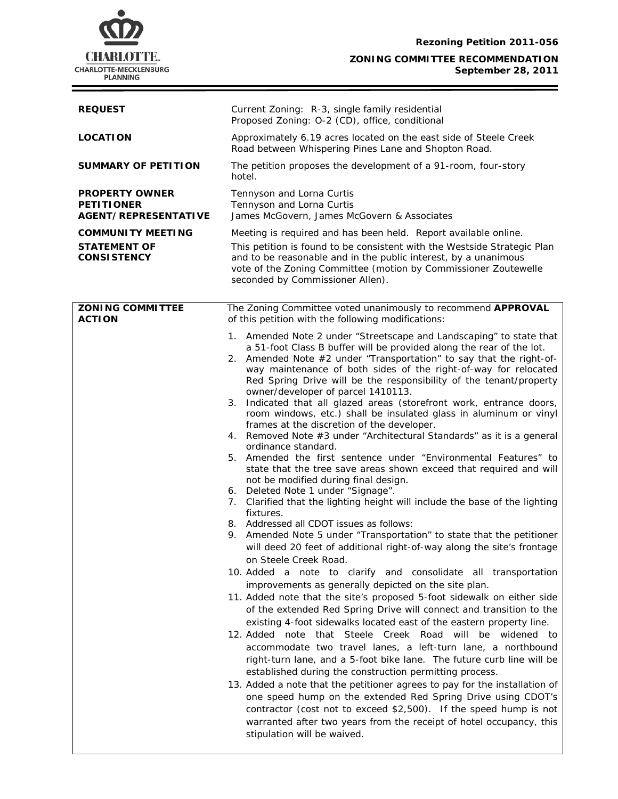

۰

#### **ZONING COMMITTEE RECOMMENDATION September 28, 2011**

| <b>REQUEST</b>                                                            | Current Zoning: R-3, single family residential<br>Proposed Zoning: O-2 (CD), office, conditional                                                                                                                                                                                                                                                                                                                                                                                                                                                                                                   |  |  |
|---------------------------------------------------------------------------|----------------------------------------------------------------------------------------------------------------------------------------------------------------------------------------------------------------------------------------------------------------------------------------------------------------------------------------------------------------------------------------------------------------------------------------------------------------------------------------------------------------------------------------------------------------------------------------------------|--|--|
| <b>LOCATION</b>                                                           | Approximately 6.19 acres located on the east side of Steele Creek<br>Road between Whispering Pines Lane and Shopton Road.                                                                                                                                                                                                                                                                                                                                                                                                                                                                          |  |  |
| <b>SUMMARY OF PETITION</b>                                                | The petition proposes the development of a 91-room, four-story<br>hotel.                                                                                                                                                                                                                                                                                                                                                                                                                                                                                                                           |  |  |
| <b>PROPERTY OWNER</b><br><b>PETITIONER</b><br><b>AGENT/REPRESENTATIVE</b> | Tennyson and Lorna Curtis<br>Tennyson and Lorna Curtis<br>James McGovern, James McGovern & Associates                                                                                                                                                                                                                                                                                                                                                                                                                                                                                              |  |  |
| <b>COMMUNITY MEETING</b><br><b>STATEMENT OF</b><br><b>CONSISTENCY</b>     | Meeting is required and has been held. Report available online.<br>This petition is found to be consistent with the Westside Strategic Plan<br>and to be reasonable and in the public interest, by a unanimous<br>vote of the Zoning Committee (motion by Commissioner Zoutewelle                                                                                                                                                                                                                                                                                                                  |  |  |
|                                                                           | seconded by Commissioner Allen).                                                                                                                                                                                                                                                                                                                                                                                                                                                                                                                                                                   |  |  |
| <b>ZONING COMMITTEE</b><br><b>ACTION</b>                                  | The Zoning Committee voted unanimously to recommend APPROVAL<br>of this petition with the following modifications:                                                                                                                                                                                                                                                                                                                                                                                                                                                                                 |  |  |
|                                                                           | 1. Amended Note 2 under "Streetscape and Landscaping" to state that<br>a 51-foot Class B buffer will be provided along the rear of the lot.<br>Amended Note #2 under "Transportation" to say that the right-of-<br>2.<br>way maintenance of both sides of the right-of-way for relocated<br>Red Spring Drive will be the responsibility of the tenant/property<br>owner/developer of parcel 1410113.<br>Indicated that all glazed areas (storefront work, entrance doors,<br>3.<br>room windows, etc.) shall be insulated glass in aluminum or vinyl<br>frames at the discretion of the developer. |  |  |
|                                                                           | 4. Removed Note #3 under "Architectural Standards" as it is a general<br>ordinance standard.<br>5. Amended the first sentence under "Environmental Features" to<br>state that the tree save areas shown exceed that required and will<br>not be modified during final design.<br>6. Deleted Note 1 under "Signage".                                                                                                                                                                                                                                                                                |  |  |
|                                                                           | 7. Clarified that the lighting height will include the base of the lighting<br>fixtures.<br>8. Addressed all CDOT issues as follows:                                                                                                                                                                                                                                                                                                                                                                                                                                                               |  |  |
|                                                                           | 9. Amended Note 5 under "Transportation" to state that the petitioner<br>will deed 20 feet of additional right-of-way along the site's frontage<br>on Steele Creek Road.                                                                                                                                                                                                                                                                                                                                                                                                                           |  |  |
|                                                                           | 10. Added a note to clarify and consolidate all transportation<br>improvements as generally depicted on the site plan.                                                                                                                                                                                                                                                                                                                                                                                                                                                                             |  |  |
|                                                                           | 11. Added note that the site's proposed 5-foot sidewalk on either side<br>of the extended Red Spring Drive will connect and transition to the<br>existing 4-foot sidewalks located east of the eastern property line.                                                                                                                                                                                                                                                                                                                                                                              |  |  |
|                                                                           | 12. Added note that Steele Creek Road will be widened to<br>accommodate two travel lanes, a left-turn lane, a northbound<br>right-turn lane, and a 5-foot bike lane. The future curb line will be<br>established during the construction permitting process.                                                                                                                                                                                                                                                                                                                                       |  |  |
|                                                                           | 13. Added a note that the petitioner agrees to pay for the installation of<br>one speed hump on the extended Red Spring Drive using CDOT's<br>contractor (cost not to exceed \$2,500). If the speed hump is not<br>warranted after two years from the receipt of hotel occupancy, this<br>stipulation will be waived.                                                                                                                                                                                                                                                                              |  |  |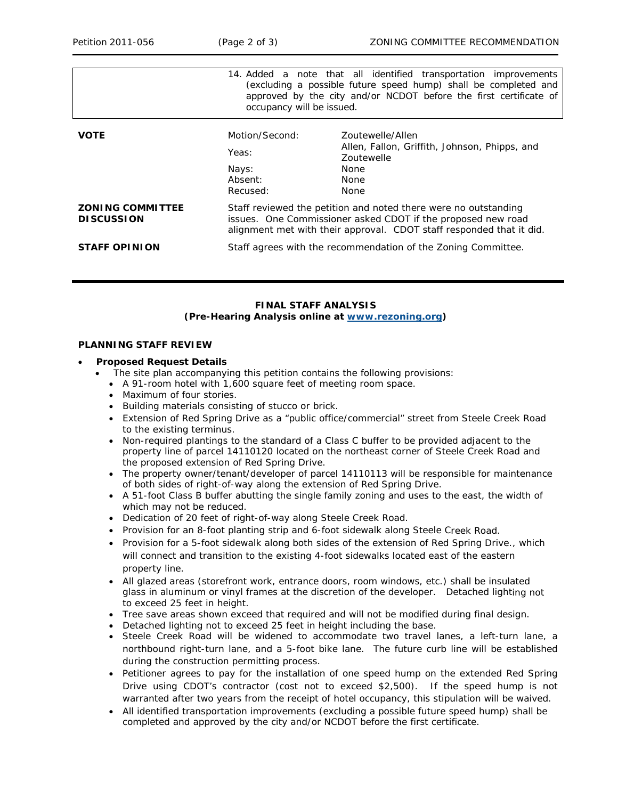|                                              | occupancy will be issued.                                                                                                                                                                               | 14. Added a note that all identified transportation improvements<br>(excluding a possible future speed hump) shall be completed and<br>approved by the city and/or NCDOT before the first certificate of |
|----------------------------------------------|---------------------------------------------------------------------------------------------------------------------------------------------------------------------------------------------------------|----------------------------------------------------------------------------------------------------------------------------------------------------------------------------------------------------------|
| <b>VOTE</b>                                  | Motion/Second:<br>Yeas:<br>Nays:<br>Absent:<br>Recused:                                                                                                                                                 | Zoutewelle/Allen<br>Allen, Fallon, Griffith, Johnson, Phipps, and<br><b>Zoutewelle</b><br><b>None</b><br><b>None</b><br><b>None</b>                                                                      |
| <b>ZONING COMMITTEE</b><br><b>DISCUSSION</b> | Staff reviewed the petition and noted there were no outstanding<br>issues. One Commissioner asked CDOT if the proposed new road<br>alignment met with their approval. CDOT staff responded that it did. |                                                                                                                                                                                                          |
| <b>STAFF OPINION</b>                         | Staff agrees with the recommendation of the Zoning Committee.                                                                                                                                           |                                                                                                                                                                                                          |

# **FINAL STAFF ANALYSIS (Pre-Hearing Analysis online at www.rezoning.org)**

#### **LANNING STAFF REVIEW P**

### • **Proposed Request Details**

- The site plan accompanying this petition contains the following provisions:
	- A 91-room hotel with 1,600 square feet of meeting room space.
	- Maximum of four stories.
	- Building materials consisting of stucco or brick.
	- Extension of Red Spring Drive as a "public office/commercial" street from Steele Creek Road to the existing terminus.
	- Non-required plantings to the standard of a Class C buffer to be provided adjacent to the the proposed extension of Red Spring Drive. property line of parcel 14110120 located on the northeast corner of Steele Creek Road and
	- The property owner/tenant/developer of parcel 14110113 will be responsible for maintenance of both sides of right-of-way along the extension of Red Spring Drive.
	- A 51-foot Class B buffer abutting the single family zoning and uses to the east, the width of which may not be reduced.
	- Dedication of 20 feet of right-of-way along Steele Creek Road.
	- Provision for an 8-foot planting strip and 6-foot sidewalk along Steele Creek Road.
	- Provision for a 5-foot sidewalk along both sides of the extension of Red Spring Drive., which will connect and transition to the existing 4-foot sidewalks located east of the eastern property line.
	- All glazed areas (storefront work, entrance doors, room windows, etc.) shall be insulated glass in aluminum or vinyl frames at the discretion of the developer. Detached lighting not to exceed 25 feet in height.
	- Tree save areas shown exceed that required and will not be modified during final design.
	- Detached lighting not to exceed 25 feet in height including the base.
	- Steele Creek Road will be widened to accommodate two travel lanes, a left-turn lane, a northbound right-turn lane, and a 5-foot bike lane. The future curb line will be established during the construction permitting process.
	- Drive using CDOT's contractor (cost not to exceed \$2,500). If the speed hump is not • Petitioner agrees to pay for the installation of one speed hump on the extended Red Spring warranted after two years from the receipt of hotel occupancy, this stipulation will be waived.
	- All identified transportation improvements (excluding a possible future speed hump) shall be completed and approved by the city and/or NCDOT before the first certificate.